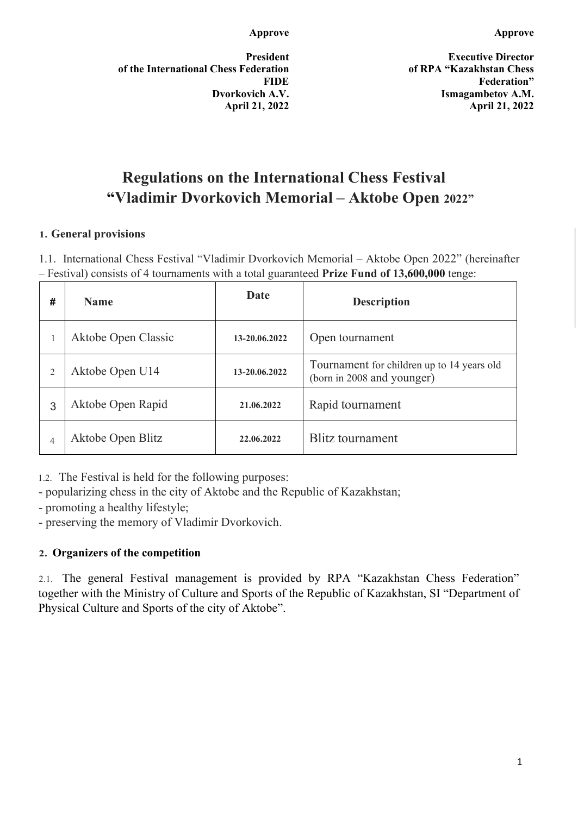**President of the International Chess Federation FIDE Dvorkovich A.V. April 21, 2022**

**Executive Director of RPA "Kazakhstan Chess Federation" Ismagambetov A.M. April 21, 2022** 

# **Regulations on the International Chess Festival "Vladimir Dvorkovich Memorial – Aktobe Open 2022"**

#### **1. General provisions**

1.1. International Chess Festival "Vladimir Dvorkovich Memorial – Aktobe Open 2022" (hereinafter – Festival) consists of 4 tournaments with a total guaranteed **Prize Fund of 13,600,000** tenge:

| # | <b>Name</b>         | Date          | <b>Description</b>                                                       |
|---|---------------------|---------------|--------------------------------------------------------------------------|
|   | Aktobe Open Classic | 13-20.06.2022 | Open tournament                                                          |
|   | Aktobe Open U14     | 13-20.06.2022 | Tournament for children up to 14 years old<br>(born in 2008 and younger) |
| 3 | Aktobe Open Rapid   | 21.06.2022    | Rapid tournament                                                         |
| 4 | Aktobe Open Blitz   | 22.06.2022    | <b>Blitz tournament</b>                                                  |

1.2. The Festival is held for the following purposes:

- popularizing chess in the city of Aktobe and the Republic of Kazakhstan;

- promoting a healthy lifestyle;

- preserving the memory of Vladimir Dvorkovich.

#### **2. Organizers of the competition**

2.1. The general Festival management is provided by RPA "Kazakhstan Chess Federation" together with the Ministry of Culture and Sports of the Republic of Kazakhstan, SI "Department of Physical Culture and Sports of the city of Aktobe".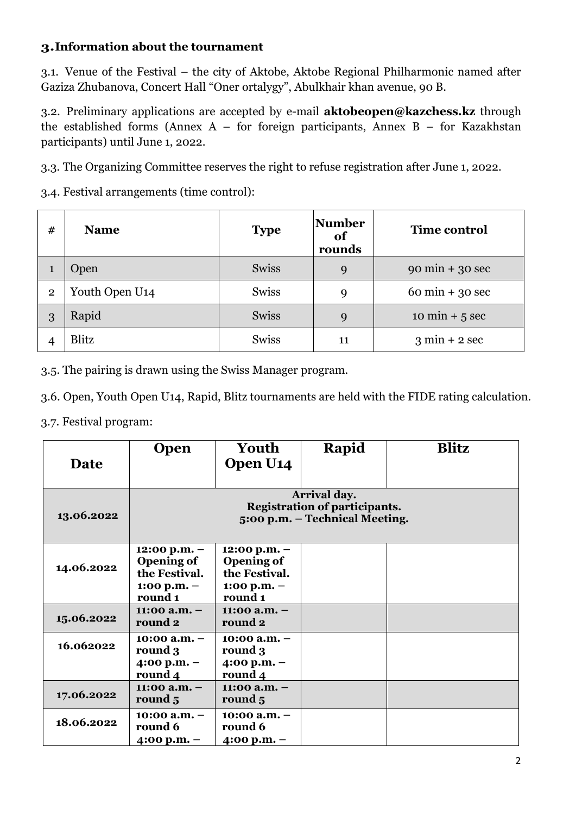#### **3.Information about the tournament**

3.1. Venue of the Festival – the city of Aktobe, Aktobe Regional Philharmonic named after Gaziza Zhubanova, Concert Hall "Oner ortalygy", Abulkhair khan avenue, 90 B.

3.2. Preliminary applications are accepted by e-mail **[aktobeopen@kazchess.kz](mailto:aktobeopen@kazchess.kz)** through the established forms (Annex A – for foreign participants, Annex B – for Kazakhstan participants) until June 1, 2022.

3.3. The Organizing Committee reserves the right to refuse registration after June 1, 2022.

3.4. Festival arrangements (time control):

| #              | <b>Name</b>                | <b>Type</b>  | Number<br>of<br>rounds | <b>Time control</b>               |
|----------------|----------------------------|--------------|------------------------|-----------------------------------|
|                | Open                       | <b>Swiss</b> | 9                      | $90 \text{ min} + 30 \text{ sec}$ |
| $\overline{2}$ | Youth Open U <sub>14</sub> | <b>Swiss</b> | $\mathbf Q$            | $60 \text{ min} + 30 \text{ sec}$ |
| 3              | Rapid                      | <b>Swiss</b> | 9                      | $10 \text{ min} + 5 \text{ sec}$  |
|                | Blitz                      | Swiss        | 11                     | $3 \text{ min} + 2 \text{ sec}$   |

3.5. The pairing is drawn using the Swiss Manager program.

3.6. Open, Youth Open U14, Rapid, Blitz tournaments are held with the FIDE rating calculation.

3.7. Festival program:

| Date       | <b>Open</b>                                                                                   | Youth<br>Open U <sub>14</sub>                                                    | Rapid | <b>Blitz</b> |  |
|------------|-----------------------------------------------------------------------------------------------|----------------------------------------------------------------------------------|-------|--------------|--|
| 13.06.2022 | <b>Arrival day.</b><br><b>Registration of participants.</b><br>5:00 p.m. – Technical Meeting. |                                                                                  |       |              |  |
| 14.06.2022 | $12:00$ p.m. $-$<br><b>Opening of</b><br>the Festival.<br>1:00 p.m. $-$<br>round 1            | $12:00 p.m. -$<br><b>Opening of</b><br>the Festival.<br>1:00 p.m. $-$<br>round 1 |       |              |  |
| 15.06.2022 | $11:00$ a.m. $-$<br>round 2                                                                   | $11:00$ a.m. $-$<br>round 2                                                      |       |              |  |
| 16.062022  | 10:00 $a.m. -$<br>round 3<br>4:00 p.m. $-$<br>round 4                                         | $10:00$ a.m. $-$<br>round 3<br>$4:00 p.m. -$<br>round 4                          |       |              |  |
| 17.06.2022 | 11:00 a.m. $-$<br>round 5                                                                     | $11:00$ a.m. $-$<br>round 5                                                      |       |              |  |
| 18.06.2022 | $10:00 a.m. -$<br>round 6<br>4:00 p.m. $-$                                                    | $10:00$ a.m. $-$<br>round 6<br>4:00 p.m. $-$                                     |       |              |  |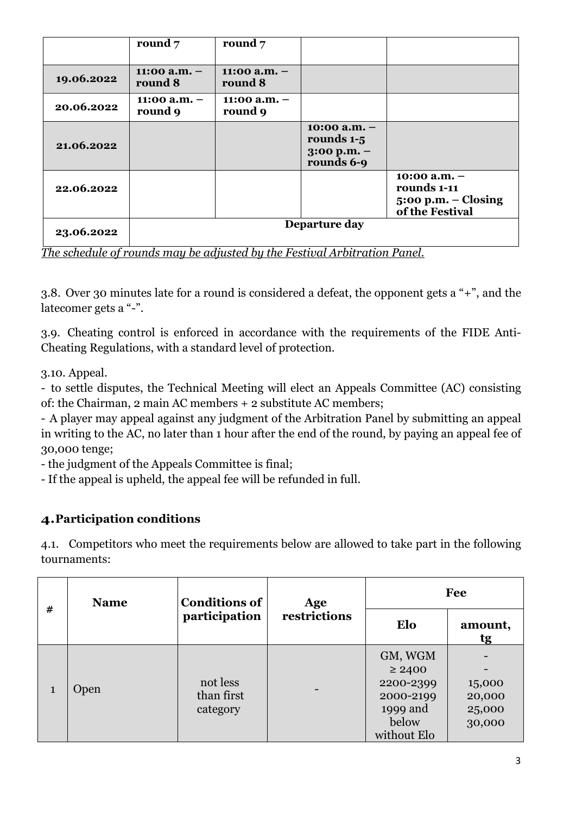|            | round $7$                 | round $7$                 |                                                                 |                                                                           |
|------------|---------------------------|---------------------------|-----------------------------------------------------------------|---------------------------------------------------------------------------|
| 19.06.2022 | 11:00 $a.m.$ –<br>round 8 | 11:00 a.m. $-$<br>round 8 |                                                                 |                                                                           |
| 20.06.2022 | 11:00 $a.m.$ –<br>round 9 | 11:00 a.m. $-$<br>round 9 |                                                                 |                                                                           |
| 21.06.2022 |                           |                           | $10:00$ a.m. $-$<br>rounds 1-5<br>$3:00$ p.m. $-$<br>rounds 6-9 |                                                                           |
| 22.06.2022 |                           |                           |                                                                 | 10:00 a.m. $-$<br>rounds 1-11<br>$5:00 p.m. - Closing$<br>of the Festival |
| 23.06.2022 |                           |                           | Departure day                                                   |                                                                           |

*The schedule of rounds may be adjusted by the Festival Arbitration Panel.*

3.8. Over 30 minutes late for a round is considered a defeat, the opponent gets a "+", and the latecomer gets a "-".

3.9. Cheating control is enforced in accordance with the requirements of the FIDE Anti-Cheating Regulations, with a standard level of protection.

3.10. Appeal.

- to settle disputes, the Technical Meeting will elect an Appeals Committee (AC) consisting of: the Chairman, 2 main AC members + 2 substitute AC members;

- A player may appeal against any judgment of the Arbitration Panel by submitting an appeal in writing to the AC, no later than 1 hour after the end of the round, by paying an appeal fee of 30,000 tenge;

- the judgment of the Appeals Committee is final;

- If the appeal is upheld, the appeal fee will be refunded in full.

#### **4.Participation conditions**

4.1. Competitors who meet the requirements below are allowed to take part in the following tournaments:

| #            | <b>Name</b> | <b>Conditions of</b><br>participation | Age          | Fee                                                                                  |                                      |
|--------------|-------------|---------------------------------------|--------------|--------------------------------------------------------------------------------------|--------------------------------------|
|              |             |                                       | restrictions | Elo                                                                                  | amount,<br>tg                        |
| $\mathbf{1}$ | Open        | not less<br>than first<br>category    |              | GM, WGM<br>$\geq 2400$<br>2200-2399<br>2000-2199<br>1999 and<br>below<br>without Elo | 15,000<br>20,000<br>25,000<br>30,000 |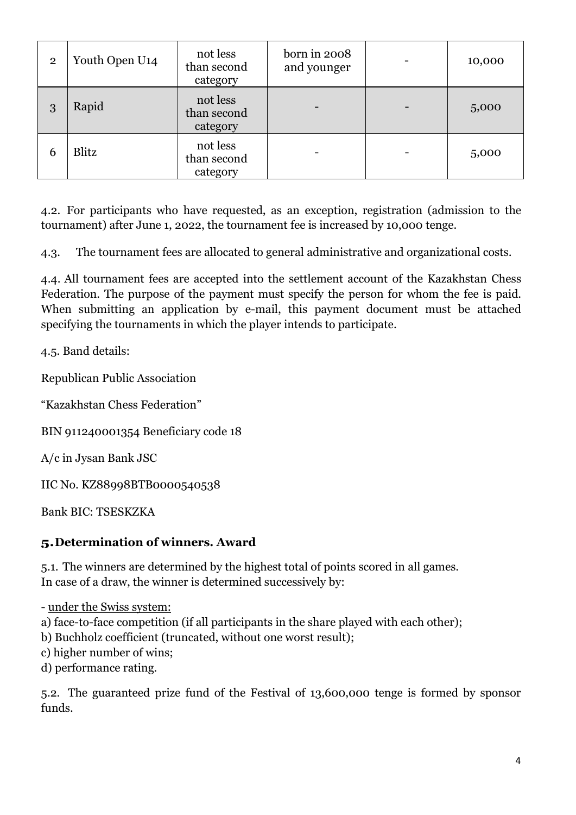| $\overline{2}$ | Youth Open U <sub>14</sub> | not less<br>than second<br>category | born in 2008<br>and younger | 10,000 |
|----------------|----------------------------|-------------------------------------|-----------------------------|--------|
| 3              | Rapid                      | not less<br>than second<br>category |                             | 5,000  |
| 6              | Blitz                      | not less<br>than second<br>category |                             | 5,000  |

4.2. For participants who have requested, as an exception, registration (admission to the tournament) after June 1, 2022, the tournament fee is increased by 10,000 tenge.

4.3. The tournament fees are allocated to general administrative and organizational costs.

4.4. All tournament fees are accepted into the settlement account of the Kazakhstan Chess Federation. The purpose of the payment must specify the person for whom the fee is paid. When submitting an application by e-mail, this payment document must be attached specifying the tournaments in which the player intends to participate.

4.5. Band details:

Republican Public Association

"Kazakhstan Chess Federation"

BIN 911240001354 Beneficiary code 18

A/c in Jysan Bank JSC

IIC No. KZ88998BTB0000540538

Bank BIC: TSESKZKA

#### **5.Determination of winners. Award**

5.1. The winners are determined by the highest total of points scored in all games. In case of a draw, the winner is determined successively by:

- under the Swiss system:

a) face-to-face competition (if all participants in the share played with each other);

b) Buchholz coefficient (truncated, without one worst result);

c) higher number of wins;

d) performance rating.

5.2. The guaranteed prize fund of the Festival of 13,600,000 tenge is formed by sponsor funds.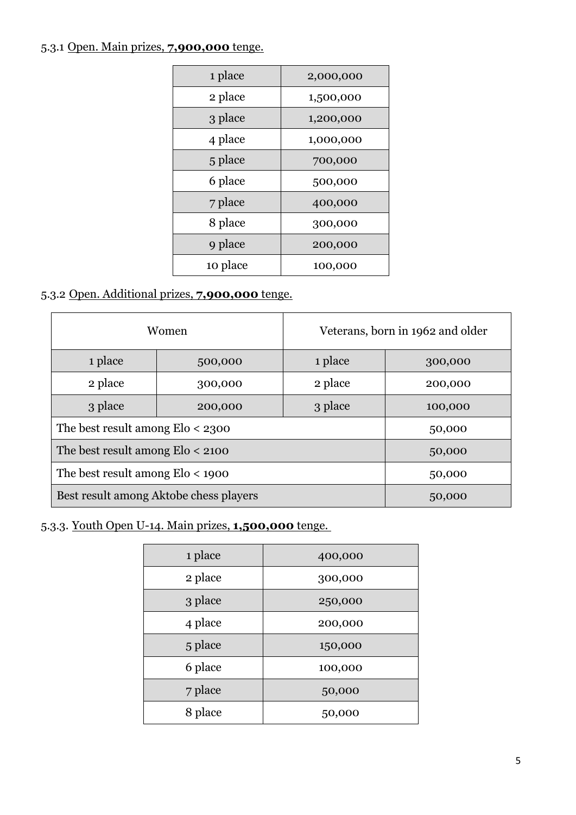## 5.3.1 Open. Main prizes, **7,900,000** tenge.

| 1 place  | 2,000,000 |
|----------|-----------|
| 2 place  | 1,500,000 |
| 3 place  | 1,200,000 |
| 4 place  | 1,000,000 |
| 5 place  | 700,000   |
| 6 place  | 500,000   |
| 7 place  | 400,000   |
| 8 place  | 300,000   |
| 9 place  | 200,000   |
| 10 place | 100,000   |

# 5.3.2 Open. Additional prizes, **7,900,000** tenge.

|                                        | Women              | Veterans, born in 1962 and older |         |  |
|----------------------------------------|--------------------|----------------------------------|---------|--|
| 1 place<br>500,000                     |                    | 1 place                          | 300,000 |  |
| 2 place                                | 300,000            |                                  | 200,000 |  |
| 3 place                                | 3 place<br>200,000 |                                  | 100,000 |  |
| The best result among $E$ lo < 2300    | 50,000             |                                  |         |  |
| The best result among $E$ lo < 2100    | 50,000             |                                  |         |  |
| The best result among $E$ lo < 1900    | 50,000             |                                  |         |  |
| Best result among Aktobe chess players | 50,000             |                                  |         |  |

## 5.3.3. Youth Open U-14. Main prizes, **1,500,000** tenge.

| 1 place | 400,000 |
|---------|---------|
| 2 place | 300,000 |
| 3 place | 250,000 |
| 4 place | 200,000 |
| 5 place | 150,000 |
| 6 place | 100,000 |
| 7 place | 50,000  |
| 8 place | 50,000  |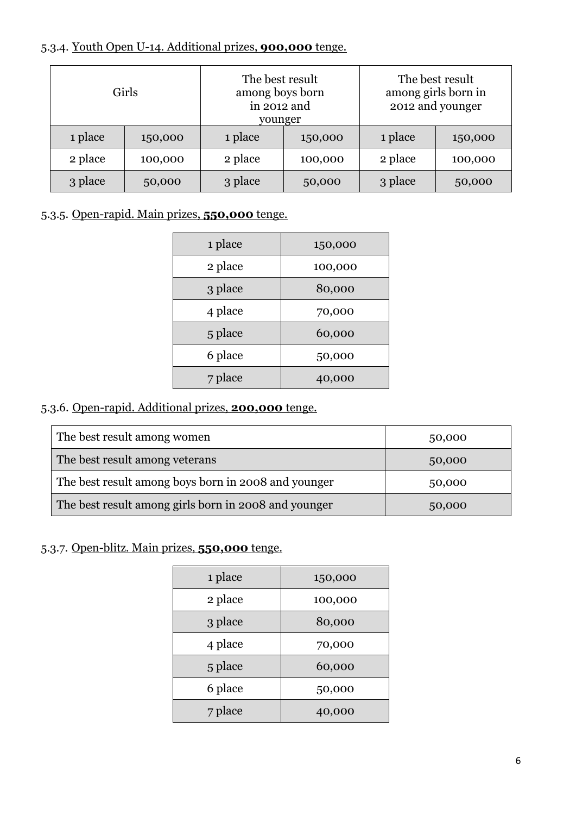## 5.3.4. Youth Open U-14. Additional prizes, **900,000** tenge.

| Girls   |         | The best result<br>among boys born<br>in 2012 and<br>younger |         | The best result<br>among girls born in<br>2012 and younger |         |
|---------|---------|--------------------------------------------------------------|---------|------------------------------------------------------------|---------|
| 1 place | 150,000 | 1 place                                                      | 150,000 | 1 place                                                    | 150,000 |
| 2 place | 100,000 | 2 place                                                      | 100,000 | 2 place                                                    | 100,000 |
| 3 place | 50,000  | 3 place                                                      | 50,000  | 3 place                                                    | 50,000  |

## 5.3.5. Open-rapid. Main prizes, **550,000** tenge.

| 1 place | 150,000 |
|---------|---------|
| 2 place | 100,000 |
| 3 place | 80,000  |
| 4 place | 70,000  |
| 5 place | 60,000  |
| 6 place | 50,000  |
| 7 place | 40,000  |

## 5.3.6. Open-rapid. Additional prizes, **200,000** tenge.

| The best result among women                          | 50,000 |
|------------------------------------------------------|--------|
| The best result among veterans                       | 50,000 |
| The best result among boys born in 2008 and younger  | 50,000 |
| The best result among girls born in 2008 and younger | 50,000 |

## 5.3.7. Open-blitz. Main prizes, **550,000** tenge.

| 1 place | 150,000 |
|---------|---------|
| 2 place | 100,000 |
| 3 place | 80,000  |
| 4 place | 70,000  |
| 5 place | 60,000  |
| 6 place | 50,000  |
| 7 place | 40,000  |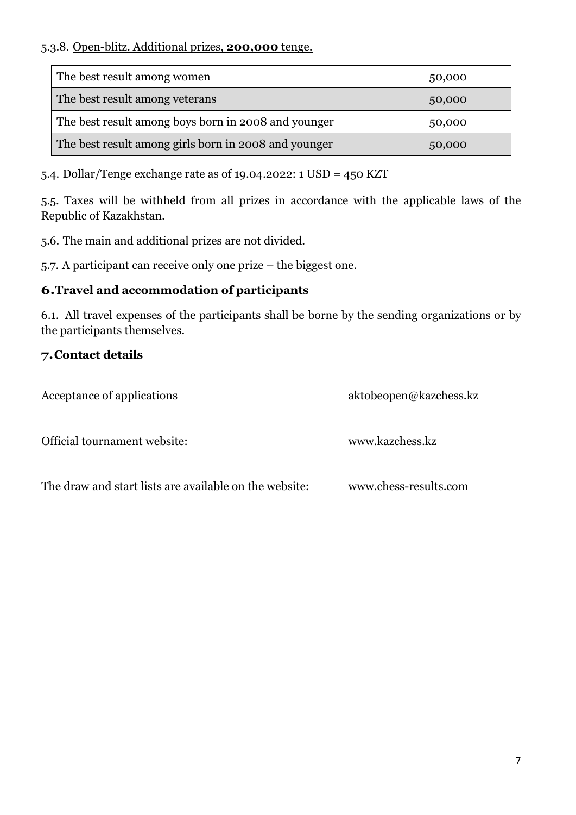#### 5.3.8. Open-blitz. Additional prizes, **200,000** tenge.

| The best result among women                          | 50,000 |  |  |
|------------------------------------------------------|--------|--|--|
| The best result among veterans                       | 50,000 |  |  |
| The best result among boys born in 2008 and younger  | 50,000 |  |  |
| The best result among girls born in 2008 and younger | 50,000 |  |  |

5.4. Dollar/Tenge exchange rate as of 19.04.2022: 1 USD = 450 KZT

5.5. Taxes will be withheld from all prizes in accordance with the applicable laws of the Republic of Kazakhstan.

5.6. The main and additional prizes are not divided.

5.7. A participant can receive only one prize – the biggest one.

#### **6.Travel and accommodation of participants**

6.1. All travel expenses of the participants shall be borne by the sending organizations or by the participants themselves.

## **7.Contact details**

Acceptance of applications [aktobeopen@kazchess.kz](mailto:aktobeopen@kazchess.kz) Official tournament website: [www.kazchess.kz](http://www.kazchess.kz/) The draw and start lists are available on the website: [www.chess-results.com](http://www.chess-results.com/)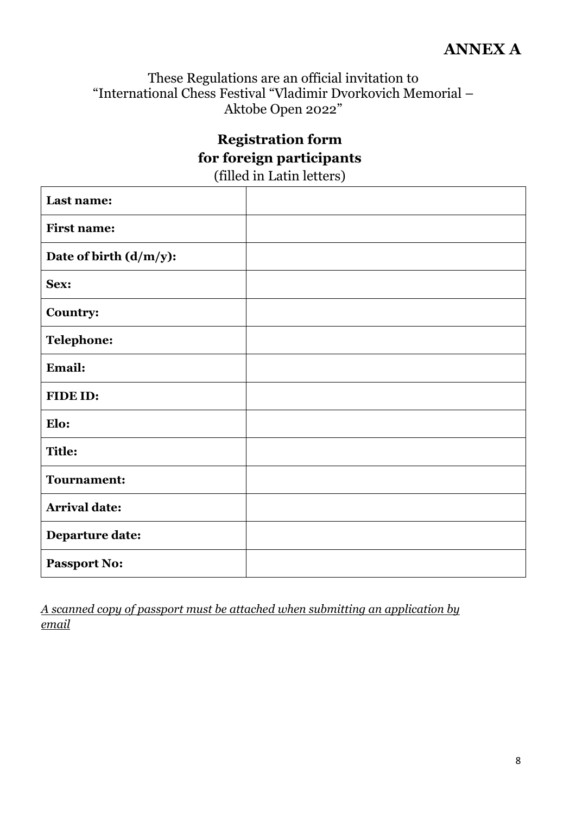These Regulations are an official invitation to "International Chess Festival "Vladimir Dvorkovich Memorial – Aktobe Open 2022"

# **Registration form for foreign participants** (filled in Latin letters)

| Last name:                |  |
|---------------------------|--|
| <b>First name:</b>        |  |
| Date of birth $(d/m/y)$ : |  |
| Sex:                      |  |
| Country:                  |  |
| <b>Telephone:</b>         |  |
| Email:                    |  |
| FIDE ID:                  |  |
| Elo:                      |  |
| <b>Title:</b>             |  |
| <b>Tournament:</b>        |  |
| <b>Arrival date:</b>      |  |
| <b>Departure date:</b>    |  |
| <b>Passport No:</b>       |  |

*A scanned copy of passport must be attached when submitting an application by email*